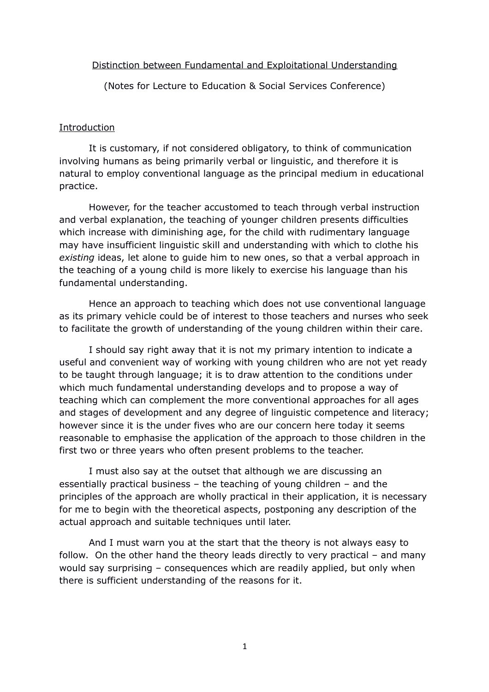#### Distinction between Fundamental and Exploitational Understanding

(Notes for Lecture to Education & Social Services Conference)

#### Introduction

It is customary, if not considered obligatory, to think of communication involving humans as being primarily verbal or linguistic, and therefore it is natural to employ conventional language as the principal medium in educational practice.

However, for the teacher accustomed to teach through verbal instruction and verbal explanation, the teaching of younger children presents difficulties which increase with diminishing age, for the child with rudimentary language may have insufficient linguistic skill and understanding with which to clothe his *existing* ideas, let alone to guide him to new ones, so that a verbal approach in the teaching of a young child is more likely to exercise his language than his fundamental understanding.

Hence an approach to teaching which does not use conventional language as its primary vehicle could be of interest to those teachers and nurses who seek to facilitate the growth of understanding of the young children within their care.

I should say right away that it is not my primary intention to indicate a useful and convenient way of working with young children who are not yet ready to be taught through language; it is to draw attention to the conditions under which much fundamental understanding develops and to propose a way of teaching which can complement the more conventional approaches for all ages and stages of development and any degree of linguistic competence and literacy; however since it is the under fives who are our concern here today it seems reasonable to emphasise the application of the approach to those children in the first two or three years who often present problems to the teacher.

I must also say at the outset that although we are discussing an essentially practical business – the teaching of young children – and the principles of the approach are wholly practical in their application, it is necessary for me to begin with the theoretical aspects, postponing any description of the actual approach and suitable techniques until later.

And I must warn you at the start that the theory is not always easy to follow. On the other hand the theory leads directly to very practical – and many would say surprising – consequences which are readily applied, but only when there is sufficient understanding of the reasons for it.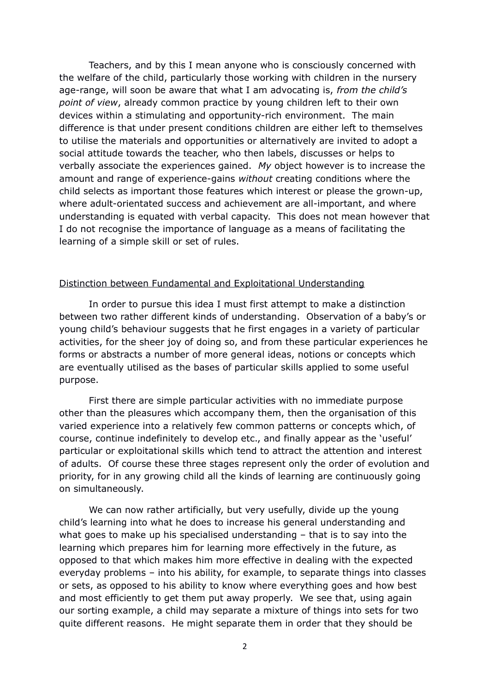Teachers, and by this I mean anyone who is consciously concerned with the welfare of the child, particularly those working with children in the nursery age-range, will soon be aware that what I am advocating is, *from the child's point of view*, already common practice by young children left to their own devices within a stimulating and opportunity-rich environment. The main difference is that under present conditions children are either left to themselves to utilise the materials and opportunities or alternatively are invited to adopt a social attitude towards the teacher, who then labels, discusses or helps to verbally associate the experiences gained. *My* object however is to increase the amount and range of experience-gains *without* creating conditions where the child selects as important those features which interest or please the grown-up, where adult-orientated success and achievement are all-important, and where understanding is equated with verbal capacity. This does not mean however that I do not recognise the importance of language as a means of facilitating the learning of a simple skill or set of rules.

#### Distinction between Fundamental and Exploitational Understanding

In order to pursue this idea I must first attempt to make a distinction between two rather different kinds of understanding. Observation of a baby's or young child's behaviour suggests that he first engages in a variety of particular activities, for the sheer joy of doing so, and from these particular experiences he forms or abstracts a number of more general ideas, notions or concepts which are eventually utilised as the bases of particular skills applied to some useful purpose.

First there are simple particular activities with no immediate purpose other than the pleasures which accompany them, then the organisation of this varied experience into a relatively few common patterns or concepts which, of course, continue indefinitely to develop etc., and finally appear as the 'useful' particular or exploitational skills which tend to attract the attention and interest of adults. Of course these three stages represent only the order of evolution and priority, for in any growing child all the kinds of learning are continuously going on simultaneously.

We can now rather artificially, but very usefully, divide up the young child's learning into what he does to increase his general understanding and what goes to make up his specialised understanding – that is to say into the learning which prepares him for learning more effectively in the future, as opposed to that which makes him more effective in dealing with the expected everyday problems – into his ability, for example, to separate things into classes or sets, as opposed to his ability to know where everything goes and how best and most efficiently to get them put away properly. We see that, using again our sorting example, a child may separate a mixture of things into sets for two quite different reasons. He might separate them in order that they should be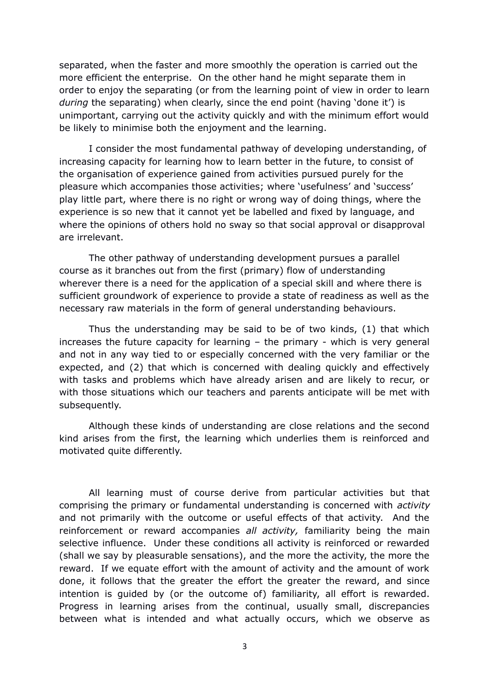separated, when the faster and more smoothly the operation is carried out the more efficient the enterprise. On the other hand he might separate them in order to enjoy the separating (or from the learning point of view in order to learn *during* the separating) when clearly, since the end point (having 'done it') is unimportant, carrying out the activity quickly and with the minimum effort would be likely to minimise both the enjoyment and the learning.

I consider the most fundamental pathway of developing understanding, of increasing capacity for learning how to learn better in the future, to consist of the organisation of experience gained from activities pursued purely for the pleasure which accompanies those activities; where 'usefulness' and 'success' play little part, where there is no right or wrong way of doing things, where the experience is so new that it cannot yet be labelled and fixed by language, and where the opinions of others hold no sway so that social approval or disapproval are irrelevant.

The other pathway of understanding development pursues a parallel course as it branches out from the first (primary) flow of understanding wherever there is a need for the application of a special skill and where there is sufficient groundwork of experience to provide a state of readiness as well as the necessary raw materials in the form of general understanding behaviours.

Thus the understanding may be said to be of two kinds, (1) that which increases the future capacity for learning – the primary - which is very general and not in any way tied to or especially concerned with the very familiar or the expected, and (2) that which is concerned with dealing quickly and effectively with tasks and problems which have already arisen and are likely to recur, or with those situations which our teachers and parents anticipate will be met with subsequently.

Although these kinds of understanding are close relations and the second kind arises from the first, the learning which underlies them is reinforced and motivated quite differently.

All learning must of course derive from particular activities but that comprising the primary or fundamental understanding is concerned with *activity* and not primarily with the outcome or useful effects of that activity. And the reinforcement or reward accompanies *all activity,* familiarity being the main selective influence. Under these conditions all activity is reinforced or rewarded (shall we say by pleasurable sensations), and the more the activity, the more the reward. If we equate effort with the amount of activity and the amount of work done, it follows that the greater the effort the greater the reward, and since intention is guided by (or the outcome of) familiarity, all effort is rewarded. Progress in learning arises from the continual, usually small, discrepancies between what is intended and what actually occurs, which we observe as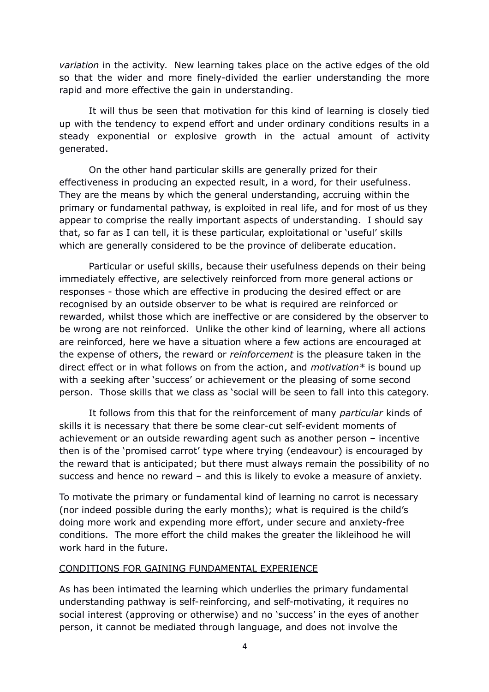*variation* in the activity. New learning takes place on the active edges of the old so that the wider and more finely-divided the earlier understanding the more rapid and more effective the gain in understanding.

It will thus be seen that motivation for this kind of learning is closely tied up with the tendency to expend effort and under ordinary conditions results in a steady exponential or explosive growth in the actual amount of activity generated.

On the other hand particular skills are generally prized for their effectiveness in producing an expected result, in a word, for their usefulness. They are the means by which the general understanding, accruing within the primary or fundamental pathway, is exploited in real life, and for most of us they appear to comprise the really important aspects of understanding. I should say that, so far as I can tell, it is these particular, exploitational or 'useful' skills which are generally considered to be the province of deliberate education.

Particular or useful skills, because their usefulness depends on their being immediately effective, are selectively reinforced from more general actions or responses - those which are effective in producing the desired effect or are recognised by an outside observer to be what is required are reinforced or rewarded, whilst those which are ineffective or are considered by the observer to be wrong are not reinforced. Unlike the other kind of learning, where all actions are reinforced, here we have a situation where a few actions are encouraged at the expense of others, the reward or *reinforcement* is the pleasure taken in the direct effect or in what follows on from the action, and *motivation\** is bound up with a seeking after 'success' or achievement or the pleasing of some second person. Those skills that we class as 'social will be seen to fall into this category.

It follows from this that for the reinforcement of many *particular* kinds of skills it is necessary that there be some clear-cut self-evident moments of achievement or an outside rewarding agent such as another person – incentive then is of the 'promised carrot' type where trying (endeavour) is encouraged by the reward that is anticipated; but there must always remain the possibility of no success and hence no reward – and this is likely to evoke a measure of anxiety.

To motivate the primary or fundamental kind of learning no carrot is necessary (nor indeed possible during the early months); what is required is the child's doing more work and expending more effort, under secure and anxiety-free conditions. The more effort the child makes the greater the likleihood he will work hard in the future.

## CONDITIONS FOR GAINING FUNDAMENTAL EXPERIENCE

As has been intimated the learning which underlies the primary fundamental understanding pathway is self-reinforcing, and self-motivating, it requires no social interest (approving or otherwise) and no 'success' in the eyes of another person, it cannot be mediated through language, and does not involve the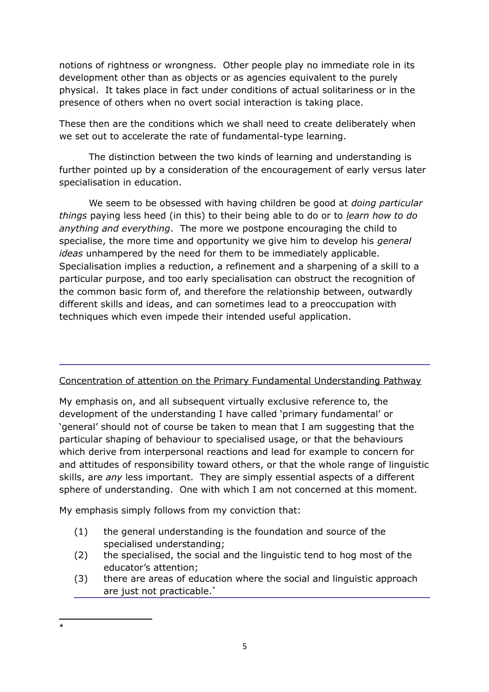notions of rightness or wrongness. Other people play no immediate role in its development other than as objects or as agencies equivalent to the purely physical. It takes place in fact under conditions of actual solitariness or in the presence of others when no overt social interaction is taking place.

These then are the conditions which we shall need to create deliberately when we set out to accelerate the rate of fundamental-type learning.

The distinction between the two kinds of learning and understanding is further pointed up by a consideration of the encouragement of early versus later specialisation in education.

We seem to be obsessed with having children be good at *doing particular things* paying less heed (in this) to their being able to do or to *learn how to do anything and everything*. The more we postpone encouraging the child to specialise, the more time and opportunity we give him to develop his *general ideas* unhampered by the need for them to be immediately applicable. Specialisation implies a reduction, a refinement and a sharpening of a skill to a particular purpose, and too early specialisation can obstruct the recognition of the common basic form of, and therefore the relationship between, outwardly different skills and ideas, and can sometimes lead to a preoccupation with techniques which even impede their intended useful application.

# Concentration of attention on the Primary Fundamental Understanding Pathway

My emphasis on, and all subsequent virtually exclusive reference to, the development of the understanding I have called 'primary fundamental' or 'general' should not of course be taken to mean that I am suggesting that the particular shaping of behaviour to specialised usage, or that the behaviours which derive from interpersonal reactions and lead for example to concern for and attitudes of responsibility toward others, or that the whole range of linguistic skills, are *any* less important. They are simply essential aspects of a different sphere of understanding. One with which I am not concerned at this moment.

My emphasis simply follows from my conviction that:

- (1) the general understanding is the foundation and source of the specialised understanding;
- (2) the specialised, the social and the linguistic tend to hog most of the educator's attention;
- (3) there are areas of education where the social and linguistic approach are just not practicable.[\\*](#page-4-0)

<span id="page-4-0"></span><sup>\*</sup>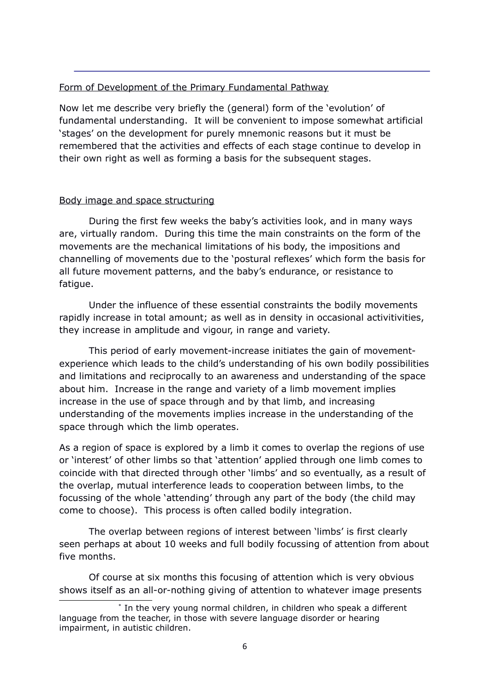# Form of Development of the Primary Fundamental Pathway

Now let me describe very briefly the (general) form of the 'evolution' of fundamental understanding. It will be convenient to impose somewhat artificial 'stages' on the development for purely mnemonic reasons but it must be remembered that the activities and effects of each stage continue to develop in their own right as well as forming a basis for the subsequent stages.

# Body image and space structuring

During the first few weeks the baby's activities look, and in many ways are, virtually random. During this time the main constraints on the form of the movements are the mechanical limitations of his body, the impositions and channelling of movements due to the 'postural reflexes' which form the basis for all future movement patterns, and the baby's endurance, or resistance to fatique.

Under the influence of these essential constraints the bodily movements rapidly increase in total amount; as well as in density in occasional activitivities, they increase in amplitude and vigour, in range and variety.

This period of early movement-increase initiates the gain of movementexperience which leads to the child's understanding of his own bodily possibilities and limitations and reciprocally to an awareness and understanding of the space about him. Increase in the range and variety of a limb movement implies increase in the use of space through and by that limb, and increasing understanding of the movements implies increase in the understanding of the space through which the limb operates.

As a region of space is explored by a limb it comes to overlap the regions of use or 'interest' of other limbs so that 'attention' applied through one limb comes to coincide with that directed through other 'limbs' and so eventually, as a result of the overlap, mutual interference leads to cooperation between limbs, to the focussing of the whole 'attending' through any part of the body (the child may come to choose). This process is often called bodily integration.

The overlap between regions of interest between 'limbs' is first clearly seen perhaps at about 10 weeks and full bodily focussing of attention from about five months.

Of course at six months this focusing of attention which is very obvious shows itself as an all-or-nothing giving of attention to whatever image presents

<sup>\*</sup> In the very young normal children, in children who speak a different language from the teacher, in those with severe language disorder or hearing impairment, in autistic children.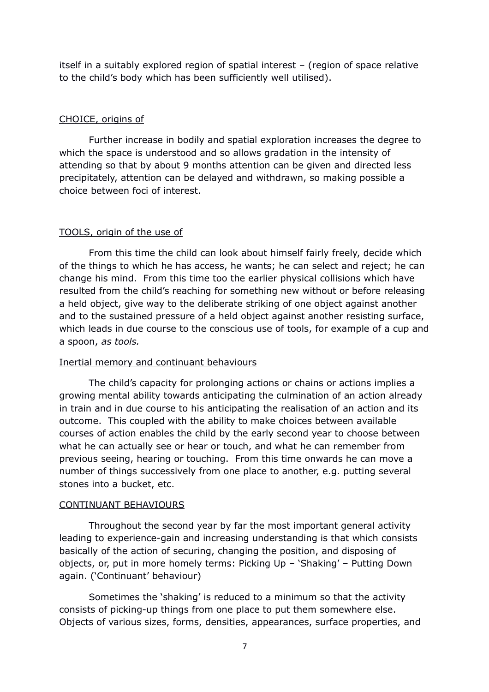itself in a suitably explored region of spatial interest – (region of space relative to the child's body which has been sufficiently well utilised).

### CHOICE, origins of

Further increase in bodily and spatial exploration increases the degree to which the space is understood and so allows gradation in the intensity of attending so that by about 9 months attention can be given and directed less precipitately, attention can be delayed and withdrawn, so making possible a choice between foci of interest.

#### TOOLS, origin of the use of

From this time the child can look about himself fairly freely, decide which of the things to which he has access, he wants; he can select and reject; he can change his mind. From this time too the earlier physical collisions which have resulted from the child's reaching for something new without or before releasing a held object, give way to the deliberate striking of one object against another and to the sustained pressure of a held object against another resisting surface, which leads in due course to the conscious use of tools, for example of a cup and a spoon, *as tools.*

## Inertial memory and continuant behaviours

The child's capacity for prolonging actions or chains or actions implies a growing mental ability towards anticipating the culmination of an action already in train and in due course to his anticipating the realisation of an action and its outcome. This coupled with the ability to make choices between available courses of action enables the child by the early second year to choose between what he can actually see or hear or touch, and what he can remember from previous seeing, hearing or touching. From this time onwards he can move a number of things successively from one place to another, e.g. putting several stones into a bucket, etc.

#### CONTINUANT BEHAVIOURS

Throughout the second year by far the most important general activity leading to experience-gain and increasing understanding is that which consists basically of the action of securing, changing the position, and disposing of objects, or, put in more homely terms: Picking Up – 'Shaking' – Putting Down again. ('Continuant' behaviour)

Sometimes the 'shaking' is reduced to a minimum so that the activity consists of picking-up things from one place to put them somewhere else. Objects of various sizes, forms, densities, appearances, surface properties, and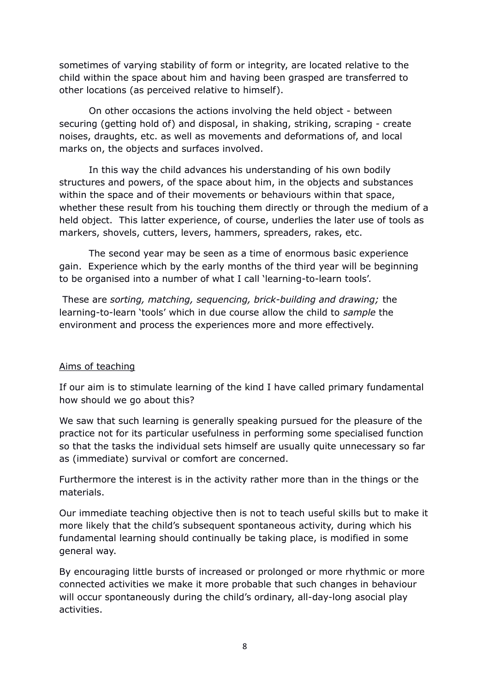sometimes of varying stability of form or integrity, are located relative to the child within the space about him and having been grasped are transferred to other locations (as perceived relative to himself).

On other occasions the actions involving the held object - between securing (getting hold of) and disposal, in shaking, striking, scraping - create noises, draughts, etc. as well as movements and deformations of, and local marks on, the objects and surfaces involved.

In this way the child advances his understanding of his own bodily structures and powers, of the space about him, in the objects and substances within the space and of their movements or behaviours within that space, whether these result from his touching them directly or through the medium of a held object. This latter experience, of course, underlies the later use of tools as markers, shovels, cutters, levers, hammers, spreaders, rakes, etc.

The second year may be seen as a time of enormous basic experience gain. Experience which by the early months of the third year will be beginning to be organised into a number of what I call 'learning-to-learn tools'.

These are *sorting, matching, sequencing, brick-building and drawing;* the learning-to-learn 'tools' which in due course allow the child to *sample* the environment and process the experiences more and more effectively.

## Aims of teaching

If our aim is to stimulate learning of the kind I have called primary fundamental how should we go about this?

We saw that such learning is generally speaking pursued for the pleasure of the practice not for its particular usefulness in performing some specialised function so that the tasks the individual sets himself are usually quite unnecessary so far as (immediate) survival or comfort are concerned.

Furthermore the interest is in the activity rather more than in the things or the materials.

Our immediate teaching objective then is not to teach useful skills but to make it more likely that the child's subsequent spontaneous activity, during which his fundamental learning should continually be taking place, is modified in some general way.

By encouraging little bursts of increased or prolonged or more rhythmic or more connected activities we make it more probable that such changes in behaviour will occur spontaneously during the child's ordinary, all-day-long asocial play activities.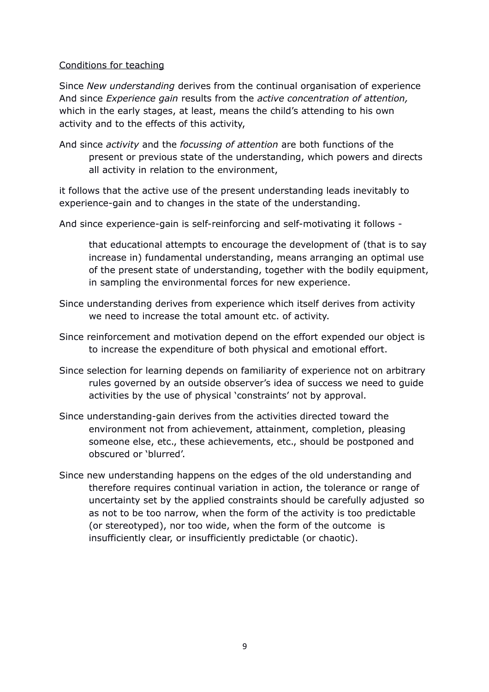### Conditions for teaching

Since *New understanding* derives from the continual organisation of experience And since *Experience gain* results from the *active concentration of attention,* which in the early stages, at least, means the child's attending to his own activity and to the effects of this activity,

And since *activity* and the *focussing of attention* are both functions of the present or previous state of the understanding, which powers and directs all activity in relation to the environment,

it follows that the active use of the present understanding leads inevitably to experience-gain and to changes in the state of the understanding.

And since experience-gain is self-reinforcing and self-motivating it follows -

that educational attempts to encourage the development of (that is to say increase in) fundamental understanding, means arranging an optimal use of the present state of understanding, together with the bodily equipment, in sampling the environmental forces for new experience.

- Since understanding derives from experience which itself derives from activity we need to increase the total amount etc. of activity.
- Since reinforcement and motivation depend on the effort expended our object is to increase the expenditure of both physical and emotional effort.
- Since selection for learning depends on familiarity of experience not on arbitrary rules governed by an outside observer's idea of success we need to guide activities by the use of physical 'constraints' not by approval.
- Since understanding-gain derives from the activities directed toward the environment not from achievement, attainment, completion, pleasing someone else, etc., these achievements, etc., should be postponed and obscured or 'blurred'.
- Since new understanding happens on the edges of the old understanding and therefore requires continual variation in action, the tolerance or range of uncertainty set by the applied constraints should be carefully adjusted so as not to be too narrow, when the form of the activity is too predictable (or stereotyped), nor too wide, when the form of the outcome is insufficiently clear, or insufficiently predictable (or chaotic).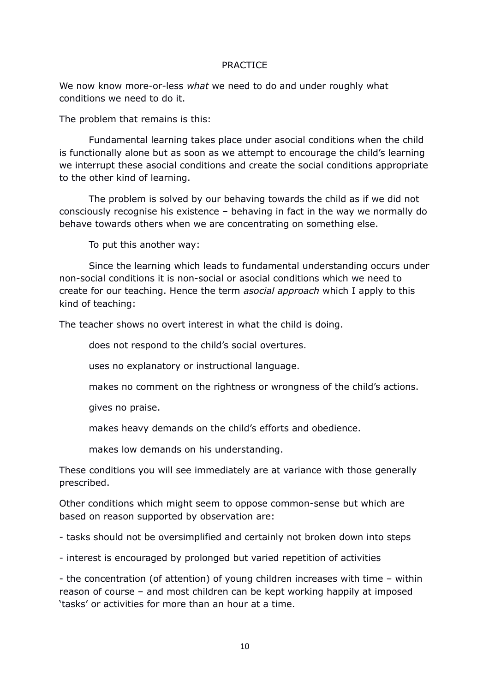#### PRACTICE

We now know more-or-less *what* we need to do and under roughly what conditions we need to do it.

The problem that remains is this:

Fundamental learning takes place under asocial conditions when the child is functionally alone but as soon as we attempt to encourage the child's learning we interrupt these asocial conditions and create the social conditions appropriate to the other kind of learning.

The problem is solved by our behaving towards the child as if we did not consciously recognise his existence – behaving in fact in the way we normally do behave towards others when we are concentrating on something else.

To put this another way:

Since the learning which leads to fundamental understanding occurs under non-social conditions it is non-social or asocial conditions which we need to create for our teaching. Hence the term *asocial approach* which I apply to this kind of teaching:

The teacher shows no overt interest in what the child is doing.

does not respond to the child's social overtures.

uses no explanatory or instructional language.

makes no comment on the rightness or wrongness of the child's actions.

gives no praise.

makes heavy demands on the child's efforts and obedience.

makes low demands on his understanding.

These conditions you will see immediately are at variance with those generally prescribed.

Other conditions which might seem to oppose common-sense but which are based on reason supported by observation are:

- tasks should not be oversimplified and certainly not broken down into steps

- interest is encouraged by prolonged but varied repetition of activities

- the concentration (of attention) of young children increases with time – within reason of course – and most children can be kept working happily at imposed 'tasks' or activities for more than an hour at a time.